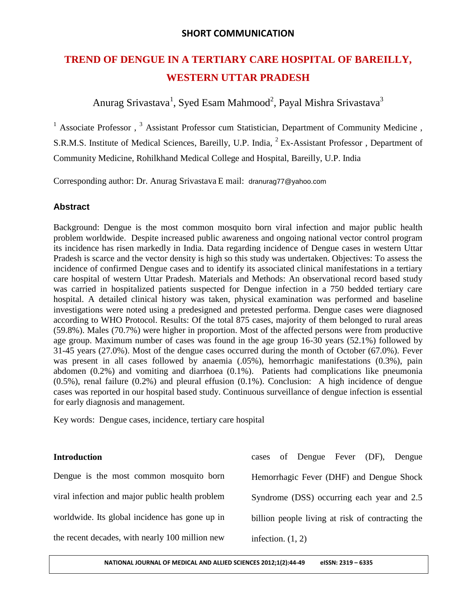# **TREND OF DENGUE IN A TERTIARY CARE HOSPITAL OF BAREILLY, WESTERN UTTAR PRADESH**

Anurag Srivastava<sup>1</sup>, Syed Esam Mahmood<sup>2</sup>, Payal Mishra Srivastava<sup>3</sup>

<sup>1</sup> Associate Professor,  $3$  Assistant Professor cum Statistician, Department of Community Medicine, S.R.M.S. Institute of Medical Sciences, Bareilly, U.P. India, <sup>2</sup> Ex-Assistant Professor, Department of Community Medicine, Rohilkhand Medical College and Hospital, Bareilly, U.P. India

Corresponding author: Dr. Anurag Srivastava E mail: dranurag77@yahoo.com

# **Abstract**

Background: Dengue is the most common mosquito born viral infection and major public health problem worldwide. Despite increased public awareness and ongoing national vector control program its incidence has risen markedly in India. Data regarding incidence of Dengue cases in western Uttar Pradesh is scarce and the vector density is high so this study was undertaken. Objectives: To assess the incidence of confirmed Dengue cases and to identify its associated clinical manifestations in a tertiary care hospital of western Uttar Pradesh. Materials and Methods: An observational record based study was carried in hospitalized patients suspected for Dengue infection in a 750 bedded tertiary care hospital. A detailed clinical history was taken, physical examination was performed and baseline investigations were noted using a predesigned and pretested performa. Dengue cases were diagnosed according to WHO Protocol. Results: Of the total 875 cases, majority of them belonged to rural areas (59.8%). Males (70.7%) were higher in proportion. Most of the affected persons were from productive age group. Maximum number of cases was found in the age group 16-30 years (52.1%) followed by 31-45 years (27.0%). Most of the dengue cases occurred during the month of October (67.0%). Fever was present in all cases followed by anaemia (.05%), hemorrhagic manifestations (0.3%), pain abdomen (0.2%) and vomiting and diarrhoea (0.1%). Patients had complications like pneumonia (0.5%), renal failure (0.2%) and pleural effusion (0.1%). Conclusion: A high incidence of dengue cases was reported in our hospital based study. Continuous surveillance of dengue infection is essential for early diagnosis and management.

Key words: Dengue cases, incidence, tertiary care hospital

# **Introduction**

Dengue is the most common mosquito born viral infection and major public health problem worldwide. Its global incidence has gone up in the recent decades, with nearly 100 million new

cases of Dengue Fever (DF), Dengue Hemorrhagic Fever (DHF) and Dengue Shock Syndrome (DSS) occurring each year and 2.5 billion people living at risk of contracting the infection.  $(1, 2)$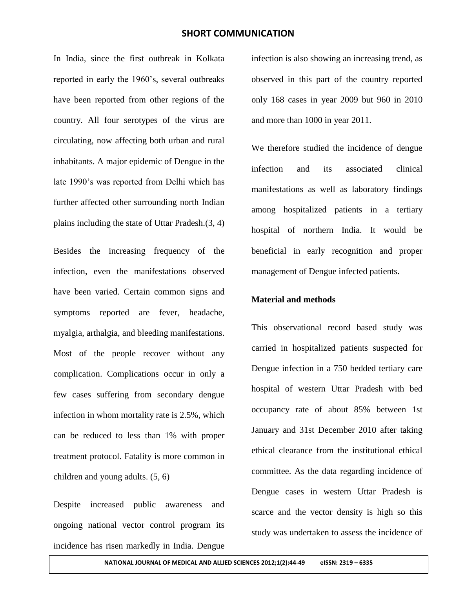In India, since the first outbreak in Kolkata reported in early the 1960's, several outbreaks have been reported from other regions of the country. All four serotypes of the virus are circulating, now affecting both urban and rural inhabitants. A major epidemic of Dengue in the late 1990's was reported from Delhi which has further affected other surrounding north Indian plains including the state of Uttar Pradesh.(3, 4)

Besides the increasing frequency of the infection, even the manifestations observed have been varied. Certain common signs and symptoms reported are fever, headache, myalgia, arthalgia, and bleeding manifestations. Most of the people recover without any complication. Complications occur in only a few cases suffering from secondary dengue infection in whom mortality rate is 2.5%, which can be reduced to less than 1% with proper treatment protocol. Fatality is more common in children and young adults. (5, 6)

Despite increased public awareness and ongoing national vector control program its incidence has risen markedly in India. Dengue

infection is also showing an increasing trend, as observed in this part of the country reported only 168 cases in year 2009 but 960 in 2010 and more than 1000 in year 2011.

We therefore studied the incidence of dengue infection and its associated clinical manifestations as well as laboratory findings among hospitalized patients in a tertiary hospital of northern India. It would be beneficial in early recognition and proper management of Dengue infected patients.

## **Material and methods**

This observational record based study was carried in hospitalized patients suspected for Dengue infection in a 750 bedded tertiary care hospital of western Uttar Pradesh with bed occupancy rate of about 85% between 1st January and 31st December 2010 after taking ethical clearance from the institutional ethical committee. As the data regarding incidence of Dengue cases in western Uttar Pradesh is scarce and the vector density is high so this study was undertaken to assess the incidence of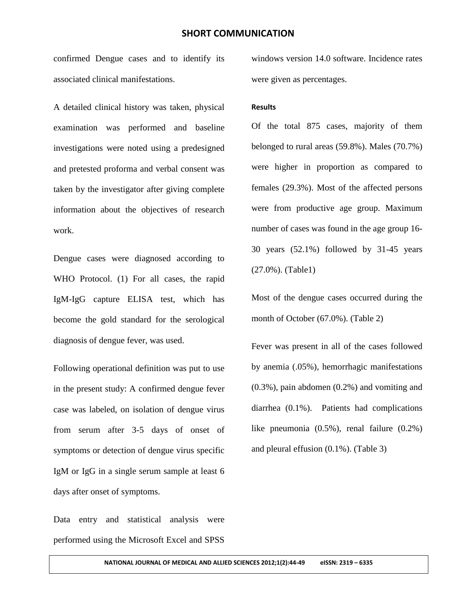confirmed Dengue cases and to identify its associated clinical manifestations.

A detailed clinical history was taken, physical examination was performed and baseline investigations were noted using a predesigned and pretested proforma and verbal consent was taken by the investigator after giving complete information about the objectives of research work.

Dengue cases were diagnosed according to WHO Protocol. (1) For all cases, the rapid IgM-IgG capture ELISA test, which has become the gold standard for the serological diagnosis of dengue fever, was used.

Following operational definition was put to use in the present study: A confirmed dengue fever case was labeled, on isolation of dengue virus from serum after 3-5 days of onset of symptoms or detection of dengue virus specific IgM or IgG in a single serum sample at least 6 days after onset of symptoms.

Data entry and statistical analysis were performed using the Microsoft Excel and SPSS windows version 14.0 software. Incidence rates were given as percentages.

#### **Results**

Of the total 875 cases, majority of them belonged to rural areas (59.8%). Males (70.7%) were higher in proportion as compared to females (29.3%). Most of the affected persons were from productive age group. Maximum number of cases was found in the age group 16- 30 years (52.1%) followed by 31-45 years (27.0%). (Table1)

Most of the dengue cases occurred during the month of October (67.0%). (Table 2)

Fever was present in all of the cases followed by anemia (.05%), hemorrhagic manifestations (0.3%), pain abdomen (0.2%) and vomiting and diarrhea (0.1%). Patients had complications like pneumonia (0.5%), renal failure (0.2%) and pleural effusion (0.1%). (Table 3)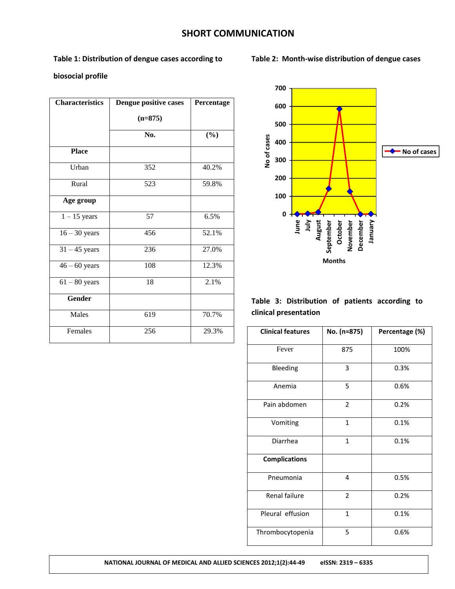**Table 1: Distribution of dengue cases according to** 

# **Table 2: Month-wise distribution of dengue cases**

**biosocial profile**

| <b>Characteristics</b> | Dengue positive cases | Percentage          |
|------------------------|-----------------------|---------------------|
|                        | $(n=875)$             |                     |
|                        | No.                   | (%)                 |
| <b>Place</b>           |                       |                     |
| Urban                  | 352                   | 40.2%               |
| Rural                  | 523                   | 59.8%               |
| Age group              |                       |                     |
| $1 - 15$ years         | 57                    | 6.5%                |
| $16 - 30$ years        | 456                   | $\overline{52.1\%}$ |
| $31 - 45$ years        | 236                   | 27.0%               |
| $46 - 60$ years        | 108                   | 12.3%               |
| $61 - 80$ years        | 18                    | 2.1%                |
| <b>Gender</b>          |                       |                     |
| Males                  | 619                   | 70.7%               |
| Females                | 256                   | 29.3%               |



# **Table 3: Distribution of patients according to clinical presentation**

| <b>Clinical features</b> | No. (n=875)    | Percentage (%) |
|--------------------------|----------------|----------------|
| Fever                    | 875            | 100%           |
| Bleeding                 | 3              | 0.3%           |
| Anemia                   | 5              | 0.6%           |
| Pain abdomen             | $\overline{2}$ | 0.2%           |
| Vomiting                 | $\mathbf{1}$   | 0.1%           |
| Diarrhea                 | $\mathbf{1}$   | 0.1%           |
| <b>Complications</b>     |                |                |
| Pneumonia                | 4              | 0.5%           |
| Renal failure            | $\overline{2}$ | 0.2%           |
| Pleural effusion         | $\mathbf{1}$   | 0.1%           |
| Thrombocytopenia         | 5              | 0.6%           |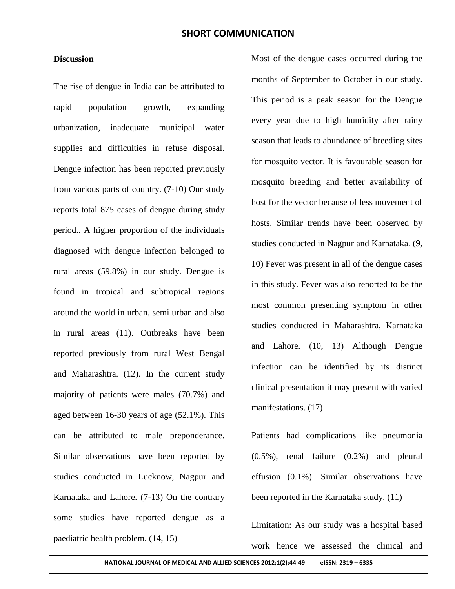## **Discussion**

The rise of dengue in India can be attributed to rapid population growth, expanding urbanization, inadequate municipal water supplies and difficulties in refuse disposal. Dengue infection has been reported previously from various parts of country. (7-10) Our study reports total 875 cases of dengue during study period.. A higher proportion of the individuals diagnosed with dengue infection belonged to rural areas (59.8%) in our study. Dengue is found in tropical and subtropical regions around the world in urban, semi urban and also in rural areas (11). Outbreaks have been reported previously from rural West Bengal and Maharashtra. (12). In the current study majority of patients were males (70.7%) and aged between 16-30 years of age (52.1%). This can be attributed to male preponderance. Similar observations have been reported by studies conducted in Lucknow, Nagpur and Karnataka and Lahore. (7-13) On the contrary some studies have reported dengue as a paediatric health problem. (14, 15)

Most of the dengue cases occurred during the months of September to October in our study. This period is a peak season for the Dengue every year due to high humidity after rainy season that leads to abundance of breeding sites for mosquito vector. It is favourable season for mosquito breeding and better availability of host for the vector because of less movement of hosts. Similar trends have been observed by studies conducted in Nagpur and Karnataka. (9, 10) Fever was present in all of the dengue cases in this study. Fever was also reported to be the most common presenting symptom in other studies conducted in Maharashtra, Karnataka and Lahore. (10, 13) Although Dengue infection can be identified by its distinct clinical presentation it may present with varied manifestations. (17)

Patients had complications like pneumonia (0.5%), renal failure (0.2%) and pleural effusion (0.1%). Similar observations have been reported in the Karnataka study. (11)

Limitation: As our study was a hospital based work hence we assessed the clinical and